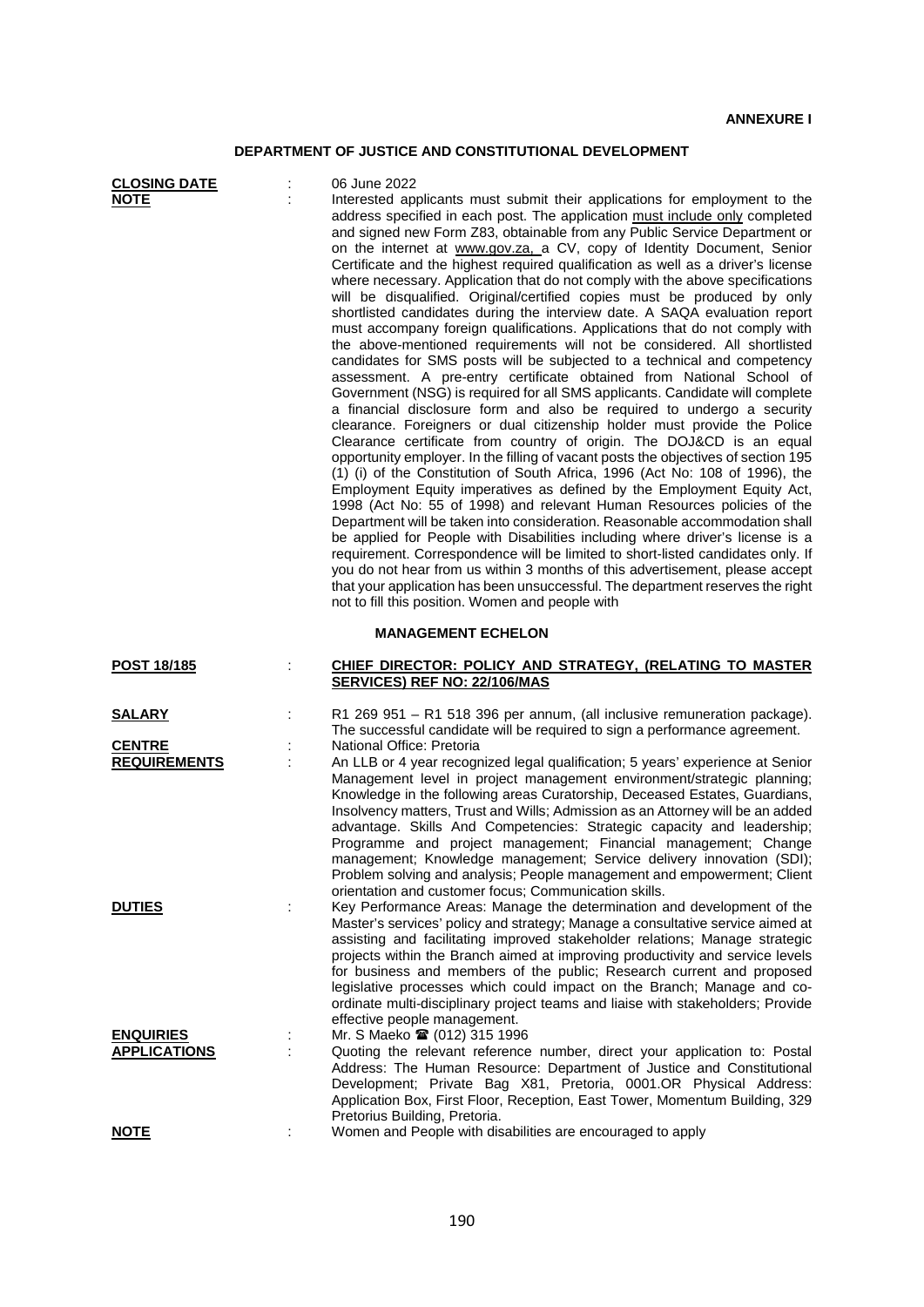## **DEPARTMENT OF JUSTICE AND CONSTITUTIONAL DEVELOPMENT**

| <b>CLOSING DATE</b><br><b>NOTE</b>                    |   | 06 June 2022<br>Interested applicants must submit their applications for employment to the<br>address specified in each post. The application must include only completed<br>and signed new Form Z83, obtainable from any Public Service Department or<br>on the internet at www.gov.za, a CV, copy of Identity Document, Senior<br>Certificate and the highest required qualification as well as a driver's license<br>where necessary. Application that do not comply with the above specifications<br>will be disqualified. Original/certified copies must be produced by only<br>shortlisted candidates during the interview date. A SAQA evaluation report<br>must accompany foreign qualifications. Applications that do not comply with<br>the above-mentioned requirements will not be considered. All shortlisted<br>candidates for SMS posts will be subjected to a technical and competency<br>assessment. A pre-entry certificate obtained from National School of<br>Government (NSG) is required for all SMS applicants. Candidate will complete<br>a financial disclosure form and also be required to undergo a security<br>clearance. Foreigners or dual citizenship holder must provide the Police<br>Clearance certificate from country of origin. The DOJ&CD is an equal<br>opportunity employer. In the filling of vacant posts the objectives of section 195<br>(1) (i) of the Constitution of South Africa, 1996 (Act No: 108 of 1996), the<br>Employment Equity imperatives as defined by the Employment Equity Act,<br>1998 (Act No: 55 of 1998) and relevant Human Resources policies of the<br>Department will be taken into consideration. Reasonable accommodation shall<br>be applied for People with Disabilities including where driver's license is a<br>requirement. Correspondence will be limited to short-listed candidates only. If<br>you do not hear from us within 3 months of this advertisement, please accept<br>that your application has been unsuccessful. The department reserves the right |
|-------------------------------------------------------|---|---------------------------------------------------------------------------------------------------------------------------------------------------------------------------------------------------------------------------------------------------------------------------------------------------------------------------------------------------------------------------------------------------------------------------------------------------------------------------------------------------------------------------------------------------------------------------------------------------------------------------------------------------------------------------------------------------------------------------------------------------------------------------------------------------------------------------------------------------------------------------------------------------------------------------------------------------------------------------------------------------------------------------------------------------------------------------------------------------------------------------------------------------------------------------------------------------------------------------------------------------------------------------------------------------------------------------------------------------------------------------------------------------------------------------------------------------------------------------------------------------------------------------------------------------------------------------------------------------------------------------------------------------------------------------------------------------------------------------------------------------------------------------------------------------------------------------------------------------------------------------------------------------------------------------------------------------------------------------------------------------------------------------------------------|
|                                                       |   | not to fill this position. Women and people with<br><b>MANAGEMENT ECHELON</b>                                                                                                                                                                                                                                                                                                                                                                                                                                                                                                                                                                                                                                                                                                                                                                                                                                                                                                                                                                                                                                                                                                                                                                                                                                                                                                                                                                                                                                                                                                                                                                                                                                                                                                                                                                                                                                                                                                                                                               |
| POST 18/185                                           |   | <b>CHIEF DIRECTOR: POLICY AND STRATEGY, (RELATING TO MASTER)</b>                                                                                                                                                                                                                                                                                                                                                                                                                                                                                                                                                                                                                                                                                                                                                                                                                                                                                                                                                                                                                                                                                                                                                                                                                                                                                                                                                                                                                                                                                                                                                                                                                                                                                                                                                                                                                                                                                                                                                                            |
|                                                       |   | SERVICES) REF NO: 22/106/MAS                                                                                                                                                                                                                                                                                                                                                                                                                                                                                                                                                                                                                                                                                                                                                                                                                                                                                                                                                                                                                                                                                                                                                                                                                                                                                                                                                                                                                                                                                                                                                                                                                                                                                                                                                                                                                                                                                                                                                                                                                |
| <u>SALARY</u><br><b>CENTRE</b><br><b>REQUIREMENTS</b> | ÷ | R1 269 951 – R1 518 396 per annum, (all inclusive remuneration package).<br>The successful candidate will be required to sign a performance agreement.<br>National Office: Pretoria<br>An LLB or 4 year recognized legal qualification; 5 years' experience at Senior<br>Management level in project management environment/strategic planning;<br>Knowledge in the following areas Curatorship, Deceased Estates, Guardians,<br>Insolvency matters, Trust and Wills; Admission as an Attorney will be an added<br>advantage. Skills And Competencies: Strategic capacity and leadership;<br>Programme and project management; Financial management; Change<br>management; Knowledge management; Service delivery innovation (SDI);<br>Problem solving and analysis; People management and empowerment; Client                                                                                                                                                                                                                                                                                                                                                                                                                                                                                                                                                                                                                                                                                                                                                                                                                                                                                                                                                                                                                                                                                                                                                                                                                              |
| <b>DUTIES</b>                                         | ÷ | orientation and customer focus; Communication skills.<br>Key Performance Areas: Manage the determination and development of the<br>Master's services' policy and strategy; Manage a consultative service aimed at<br>assisting and facilitating improved stakeholder relations; Manage strategic<br>projects within the Branch aimed at improving productivity and service levels<br>for business and members of the public; Research current and proposed<br>legislative processes which could impact on the Branch; Manage and co-<br>ordinate multi-disciplinary project teams and liaise with stakeholders; Provide<br>effective people management.                                                                                                                                                                                                                                                                                                                                                                                                                                                                                                                                                                                                                                                                                                                                                                                                                                                                                                                                                                                                                                                                                                                                                                                                                                                                                                                                                                                     |
| <b>ENQUIRIES</b><br><b>APPLICATIONS</b>               |   | Mr. S Maeko 2 (012) 315 1996<br>Quoting the relevant reference number, direct your application to: Postal<br>Address: The Human Resource: Department of Justice and Constitutional<br>Development; Private Bag X81, Pretoria, 0001.OR Physical Address:<br>Application Box, First Floor, Reception, East Tower, Momentum Building, 329                                                                                                                                                                                                                                                                                                                                                                                                                                                                                                                                                                                                                                                                                                                                                                                                                                                                                                                                                                                                                                                                                                                                                                                                                                                                                                                                                                                                                                                                                                                                                                                                                                                                                                      |
| <b>NOTE</b>                                           |   | Pretorius Building, Pretoria.<br>Women and People with disabilities are encouraged to apply                                                                                                                                                                                                                                                                                                                                                                                                                                                                                                                                                                                                                                                                                                                                                                                                                                                                                                                                                                                                                                                                                                                                                                                                                                                                                                                                                                                                                                                                                                                                                                                                                                                                                                                                                                                                                                                                                                                                                 |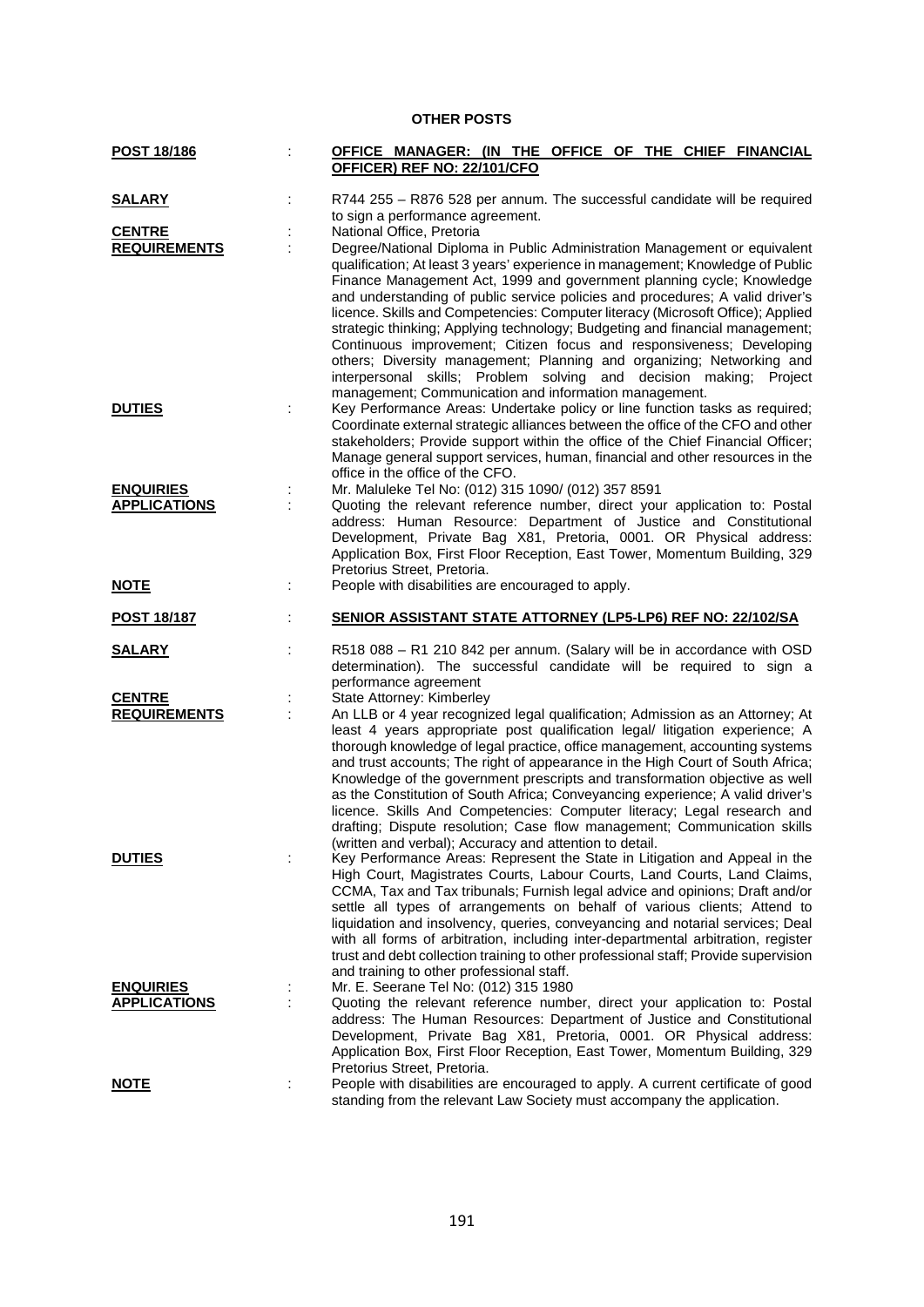| POST 18/186                          | OFFICE MANAGER: (IN THE OFFICE OF THE CHIEF FINANCIAL<br>OFFICER) REF NO: 22/101/CFO                                                                                                                                                                                                                                                                                                                                                                                                                                                                                                                                                                                                                                                           |
|--------------------------------------|------------------------------------------------------------------------------------------------------------------------------------------------------------------------------------------------------------------------------------------------------------------------------------------------------------------------------------------------------------------------------------------------------------------------------------------------------------------------------------------------------------------------------------------------------------------------------------------------------------------------------------------------------------------------------------------------------------------------------------------------|
| <b>SALARY</b>                        | R744 255 - R876 528 per annum. The successful candidate will be required                                                                                                                                                                                                                                                                                                                                                                                                                                                                                                                                                                                                                                                                       |
|                                      | to sign a performance agreement.                                                                                                                                                                                                                                                                                                                                                                                                                                                                                                                                                                                                                                                                                                               |
| <b>CENTRE</b><br><b>REQUIREMENTS</b> | National Office, Pretoria<br>Degree/National Diploma in Public Administration Management or equivalent                                                                                                                                                                                                                                                                                                                                                                                                                                                                                                                                                                                                                                         |
|                                      | qualification; At least 3 years' experience in management; Knowledge of Public<br>Finance Management Act, 1999 and government planning cycle; Knowledge<br>and understanding of public service policies and procedures; A valid driver's<br>licence. Skills and Competencies: Computer literacy (Microsoft Office); Applied<br>strategic thinking; Applying technology; Budgeting and financial management;<br>Continuous improvement; Citizen focus and responsiveness; Developing<br>others; Diversity management; Planning and organizing; Networking and<br>interpersonal skills; Problem solving and decision making; Project<br>management; Communication and information management.                                                    |
| <b>DUTIES</b>                        | Key Performance Areas: Undertake policy or line function tasks as required;<br>Coordinate external strategic alliances between the office of the CFO and other<br>stakeholders; Provide support within the office of the Chief Financial Officer;<br>Manage general support services, human, financial and other resources in the<br>office in the office of the CFO.                                                                                                                                                                                                                                                                                                                                                                          |
| <b>ENQUIRIES</b>                     | Mr. Maluleke Tel No: (012) 315 1090/ (012) 357 8591                                                                                                                                                                                                                                                                                                                                                                                                                                                                                                                                                                                                                                                                                            |
| <b>APPLICATIONS</b>                  | Quoting the relevant reference number, direct your application to: Postal<br>address: Human Resource: Department of Justice and Constitutional<br>Development, Private Bag X81, Pretoria, 0001. OR Physical address:<br>Application Box, First Floor Reception, East Tower, Momentum Building, 329<br>Pretorius Street, Pretoria.                                                                                                                                                                                                                                                                                                                                                                                                              |
| <u>NOTE</u>                          | People with disabilities are encouraged to apply.                                                                                                                                                                                                                                                                                                                                                                                                                                                                                                                                                                                                                                                                                              |
| POST 18/187                          | SENIOR ASSISTANT STATE ATTORNEY (LP5-LP6) REF NO: 22/102/SA                                                                                                                                                                                                                                                                                                                                                                                                                                                                                                                                                                                                                                                                                    |
| <b>SALARY</b>                        | R518 088 - R1 210 842 per annum. (Salary will be in accordance with OSD<br>determination). The successful candidate will be required to sign a<br>performance agreement                                                                                                                                                                                                                                                                                                                                                                                                                                                                                                                                                                        |
| <b>CENTRE</b><br><b>REQUIREMENTS</b> | State Attorney: Kimberley<br>An LLB or 4 year recognized legal qualification; Admission as an Attorney; At<br>least 4 years appropriate post qualification legal/ litigation experience; A<br>thorough knowledge of legal practice, office management, accounting systems<br>and trust accounts; The right of appearance in the High Court of South Africa;<br>Knowledge of the government prescripts and transformation objective as well<br>as the Constitution of South Africa; Conveyancing experience; A valid driver's<br>licence. Skills And Competencies: Computer literacy; Legal research and<br>drafting; Dispute resolution; Case flow management; Communication skills<br>(written and verbal); Accuracy and attention to detail. |
| <b>DUTIES</b>                        | Key Performance Areas: Represent the State in Litigation and Appeal in the<br>High Court, Magistrates Courts, Labour Courts, Land Courts, Land Claims,<br>CCMA, Tax and Tax tribunals; Furnish legal advice and opinions; Draft and/or<br>settle all types of arrangements on behalf of various clients; Attend to<br>liquidation and insolvency, queries, conveyancing and notarial services; Deal<br>with all forms of arbitration, including inter-departmental arbitration, register<br>trust and debt collection training to other professional staff; Provide supervision<br>and training to other professional staff.                                                                                                                   |
| <b>ENQUIRIES</b>                     | Mr. E. Seerane Tel No: (012) 315 1980                                                                                                                                                                                                                                                                                                                                                                                                                                                                                                                                                                                                                                                                                                          |
| <b>APPLICATIONS</b>                  | Quoting the relevant reference number, direct your application to: Postal<br>address: The Human Resources: Department of Justice and Constitutional<br>Development, Private Bag X81, Pretoria, 0001. OR Physical address:<br>Application Box, First Floor Reception, East Tower, Momentum Building, 329                                                                                                                                                                                                                                                                                                                                                                                                                                        |
|                                      | Pretorius Street, Pretoria.                                                                                                                                                                                                                                                                                                                                                                                                                                                                                                                                                                                                                                                                                                                    |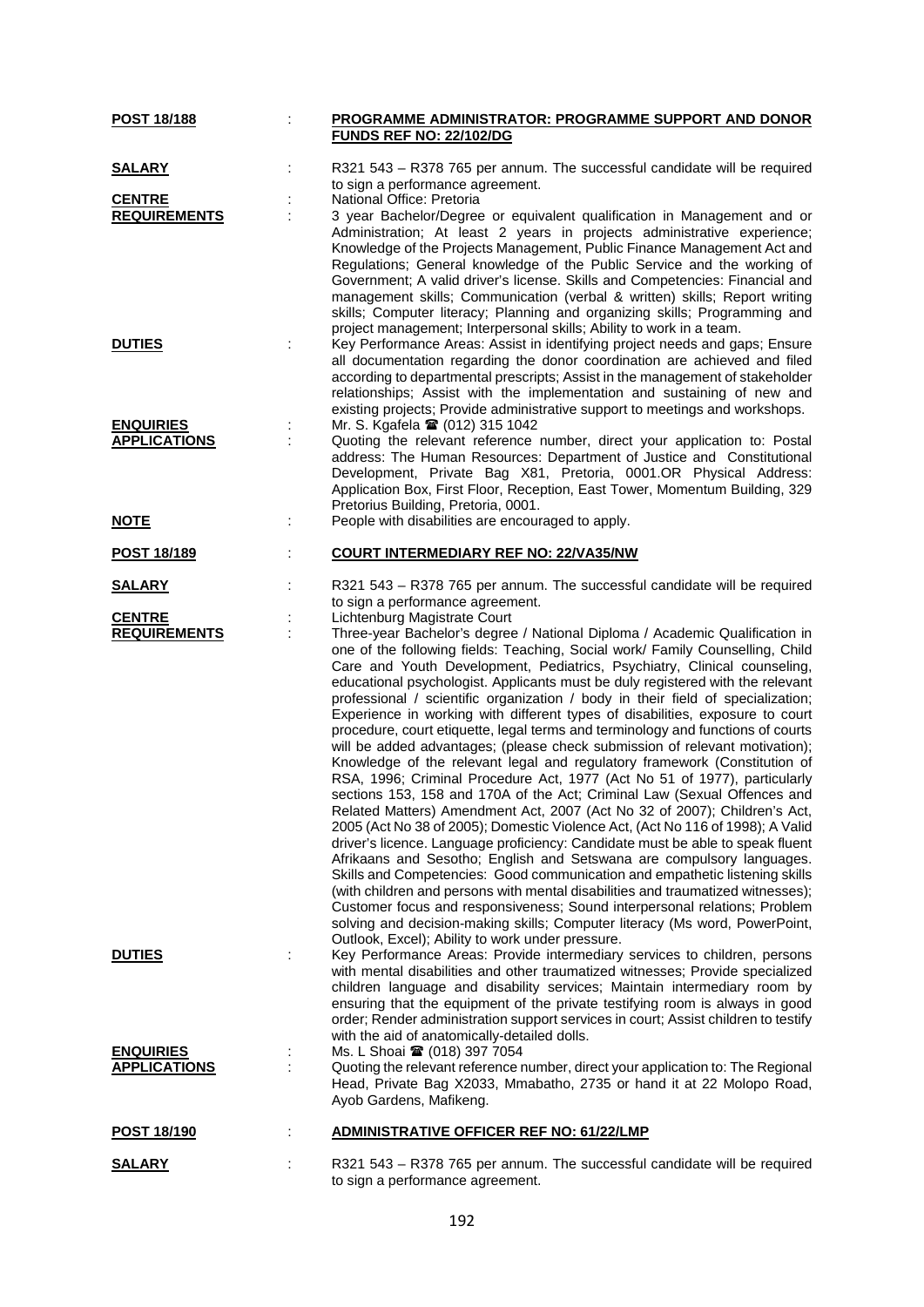| <b>POST 18/188</b>                      |   | PROGRAMME ADMINISTRATOR: PROGRAMME SUPPORT AND DONOR                                                                                                                                                                                                                                                                                                                                                                                                                                                                                                                                                                                                                                                                                                                                                                                                                                                                                                                                                                                                                                                                                                                                                                                                                                                                                                                                                                                                                                                                                                                                                                                               |
|-----------------------------------------|---|----------------------------------------------------------------------------------------------------------------------------------------------------------------------------------------------------------------------------------------------------------------------------------------------------------------------------------------------------------------------------------------------------------------------------------------------------------------------------------------------------------------------------------------------------------------------------------------------------------------------------------------------------------------------------------------------------------------------------------------------------------------------------------------------------------------------------------------------------------------------------------------------------------------------------------------------------------------------------------------------------------------------------------------------------------------------------------------------------------------------------------------------------------------------------------------------------------------------------------------------------------------------------------------------------------------------------------------------------------------------------------------------------------------------------------------------------------------------------------------------------------------------------------------------------------------------------------------------------------------------------------------------------|
|                                         |   | <b>FUNDS REF NO: 22/102/DG</b>                                                                                                                                                                                                                                                                                                                                                                                                                                                                                                                                                                                                                                                                                                                                                                                                                                                                                                                                                                                                                                                                                                                                                                                                                                                                                                                                                                                                                                                                                                                                                                                                                     |
| <b>SALARY</b>                           |   | R321 543 - R378 765 per annum. The successful candidate will be required<br>to sign a performance agreement.                                                                                                                                                                                                                                                                                                                                                                                                                                                                                                                                                                                                                                                                                                                                                                                                                                                                                                                                                                                                                                                                                                                                                                                                                                                                                                                                                                                                                                                                                                                                       |
| <b>CENTRE</b>                           |   | National Office: Pretoria                                                                                                                                                                                                                                                                                                                                                                                                                                                                                                                                                                                                                                                                                                                                                                                                                                                                                                                                                                                                                                                                                                                                                                                                                                                                                                                                                                                                                                                                                                                                                                                                                          |
| <b>REQUIREMENTS</b>                     |   | 3 year Bachelor/Degree or equivalent qualification in Management and or<br>Administration; At least 2 years in projects administrative experience;<br>Knowledge of the Projects Management, Public Finance Management Act and<br>Regulations; General knowledge of the Public Service and the working of<br>Government; A valid driver's license. Skills and Competencies: Financial and<br>management skills; Communication (verbal & written) skills; Report writing<br>skills; Computer literacy; Planning and organizing skills; Programming and<br>project management; Interpersonal skills; Ability to work in a team.                                                                                                                                                                                                                                                                                                                                                                                                                                                                                                                                                                                                                                                                                                                                                                                                                                                                                                                                                                                                                       |
| <b>DUTIES</b>                           |   | Key Performance Areas: Assist in identifying project needs and gaps; Ensure<br>all documentation regarding the donor coordination are achieved and filed<br>according to departmental prescripts; Assist in the management of stakeholder<br>relationships; Assist with the implementation and sustaining of new and<br>existing projects; Provide administrative support to meetings and workshops.                                                                                                                                                                                                                                                                                                                                                                                                                                                                                                                                                                                                                                                                                                                                                                                                                                                                                                                                                                                                                                                                                                                                                                                                                                               |
| <b>ENQUIRIES</b>                        |   | Mr. S. Kgafela <sup>2</sup> (012) 315 1042                                                                                                                                                                                                                                                                                                                                                                                                                                                                                                                                                                                                                                                                                                                                                                                                                                                                                                                                                                                                                                                                                                                                                                                                                                                                                                                                                                                                                                                                                                                                                                                                         |
| <b>APPLICATIONS</b>                     | ÷ | Quoting the relevant reference number, direct your application to: Postal<br>address: The Human Resources: Department of Justice and Constitutional<br>Development, Private Bag X81, Pretoria, 0001.OR Physical Address:<br>Application Box, First Floor, Reception, East Tower, Momentum Building, 329<br>Pretorius Building, Pretoria, 0001.                                                                                                                                                                                                                                                                                                                                                                                                                                                                                                                                                                                                                                                                                                                                                                                                                                                                                                                                                                                                                                                                                                                                                                                                                                                                                                     |
| <b>NOTE</b>                             |   | People with disabilities are encouraged to apply.                                                                                                                                                                                                                                                                                                                                                                                                                                                                                                                                                                                                                                                                                                                                                                                                                                                                                                                                                                                                                                                                                                                                                                                                                                                                                                                                                                                                                                                                                                                                                                                                  |
| <b>POST 18/189</b>                      |   | <b>COURT INTERMEDIARY REF NO: 22/VA35/NW</b>                                                                                                                                                                                                                                                                                                                                                                                                                                                                                                                                                                                                                                                                                                                                                                                                                                                                                                                                                                                                                                                                                                                                                                                                                                                                                                                                                                                                                                                                                                                                                                                                       |
| <u>SALARY</u>                           |   | R321 543 - R378 765 per annum. The successful candidate will be required<br>to sign a performance agreement.                                                                                                                                                                                                                                                                                                                                                                                                                                                                                                                                                                                                                                                                                                                                                                                                                                                                                                                                                                                                                                                                                                                                                                                                                                                                                                                                                                                                                                                                                                                                       |
| <b>CENTRE</b><br><b>REQUIREMENTS</b>    |   | Lichtenburg Magistrate Court<br>Three-year Bachelor's degree / National Diploma / Academic Qualification in<br>one of the following fields: Teaching, Social work/ Family Counselling, Child<br>Care and Youth Development, Pediatrics, Psychiatry, Clinical counseling,<br>educational psychologist. Applicants must be duly registered with the relevant<br>professional / scientific organization / body in their field of specialization;<br>Experience in working with different types of disabilities, exposure to court<br>procedure, court etiquette, legal terms and terminology and functions of courts<br>will be added advantages; (please check submission of relevant motivation);<br>Knowledge of the relevant legal and regulatory framework (Constitution of<br>RSA, 1996; Criminal Procedure Act, 1977 (Act No 51 of 1977), particularly<br>sections 153, 158 and 170A of the Act; Criminal Law (Sexual Offences and<br>Related Matters) Amendment Act, 2007 (Act No 32 of 2007); Children's Act,<br>2005 (Act No 38 of 2005); Domestic Violence Act, (Act No 116 of 1998); A Valid<br>driver's licence. Language proficiency: Candidate must be able to speak fluent<br>Afrikaans and Sesotho; English and Setswana are compulsory languages.<br>Skills and Competencies: Good communication and empathetic listening skills<br>(with children and persons with mental disabilities and traumatized witnesses);<br>Customer focus and responsiveness; Sound interpersonal relations; Problem<br>solving and decision-making skills; Computer literacy (Ms word, PowerPoint,<br>Outlook, Excel); Ability to work under pressure. |
| <b>DUTIES</b>                           |   | Key Performance Areas: Provide intermediary services to children, persons<br>with mental disabilities and other traumatized witnesses; Provide specialized<br>children language and disability services; Maintain intermediary room by<br>ensuring that the equipment of the private testifying room is always in good<br>order; Render administration support services in court; Assist children to testify<br>with the aid of anatomically-detailed dolls.                                                                                                                                                                                                                                                                                                                                                                                                                                                                                                                                                                                                                                                                                                                                                                                                                                                                                                                                                                                                                                                                                                                                                                                       |
| <b>ENQUIRIES</b><br><b>APPLICATIONS</b> |   | Ms. L Shoai <sup>2</sup> (018) 397 7054<br>Quoting the relevant reference number, direct your application to: The Regional<br>Head, Private Bag X2033, Mmabatho, 2735 or hand it at 22 Molopo Road,<br>Ayob Gardens, Mafikeng.                                                                                                                                                                                                                                                                                                                                                                                                                                                                                                                                                                                                                                                                                                                                                                                                                                                                                                                                                                                                                                                                                                                                                                                                                                                                                                                                                                                                                     |
| POST 18/190                             | ÷ | <b>ADMINISTRATIVE OFFICER REF NO: 61/22/LMP</b>                                                                                                                                                                                                                                                                                                                                                                                                                                                                                                                                                                                                                                                                                                                                                                                                                                                                                                                                                                                                                                                                                                                                                                                                                                                                                                                                                                                                                                                                                                                                                                                                    |
| <u>SALARY</u>                           |   | R321 543 - R378 765 per annum. The successful candidate will be required<br>to sign a performance agreement.                                                                                                                                                                                                                                                                                                                                                                                                                                                                                                                                                                                                                                                                                                                                                                                                                                                                                                                                                                                                                                                                                                                                                                                                                                                                                                                                                                                                                                                                                                                                       |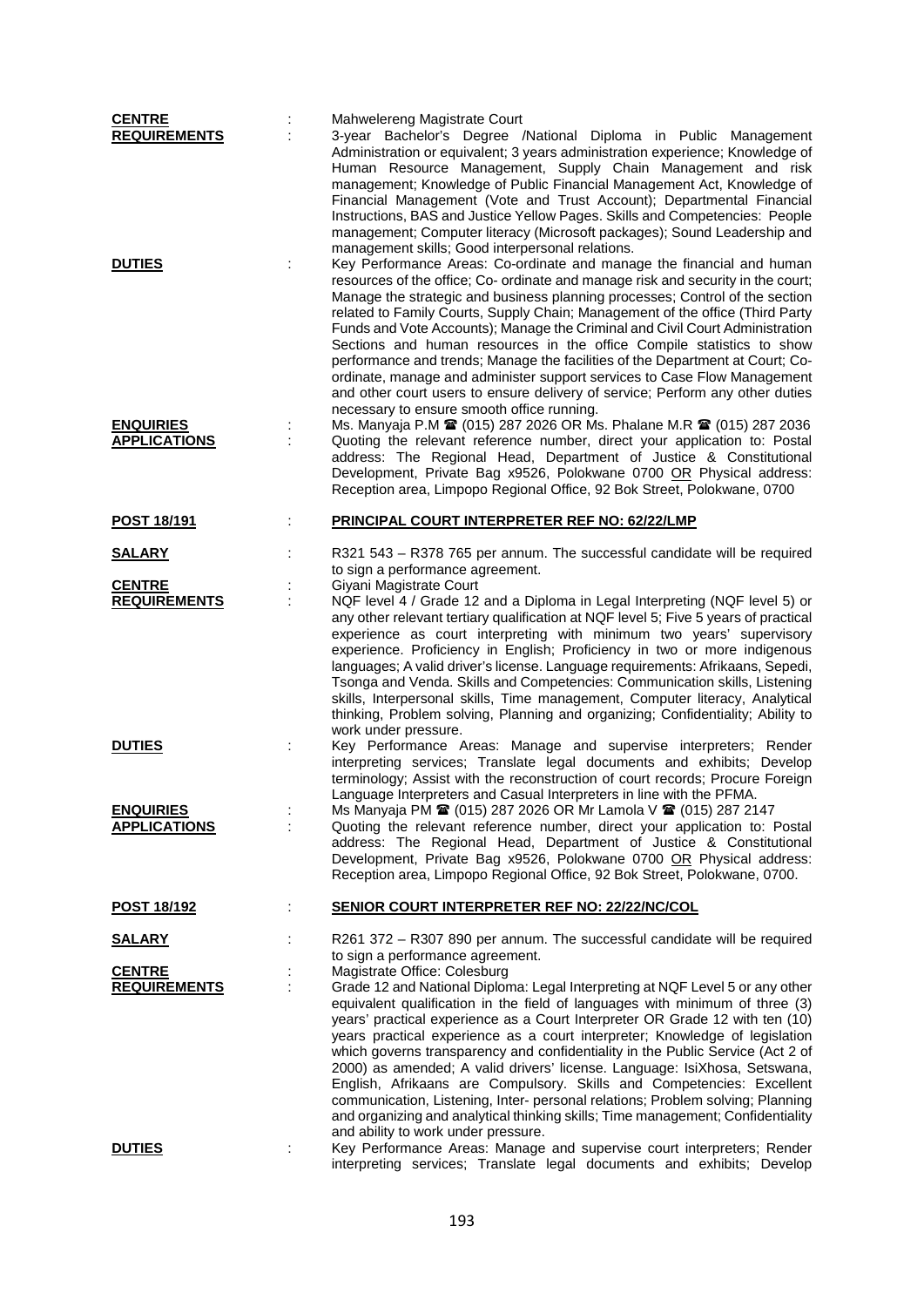| <b>CENTRE</b>                           |   | Mahwelereng Magistrate Court                                                                                                                                                                                                                                                                                                                                                                                                                                                                                                                                                                                                                                                                                                                                                                                     |
|-----------------------------------------|---|------------------------------------------------------------------------------------------------------------------------------------------------------------------------------------------------------------------------------------------------------------------------------------------------------------------------------------------------------------------------------------------------------------------------------------------------------------------------------------------------------------------------------------------------------------------------------------------------------------------------------------------------------------------------------------------------------------------------------------------------------------------------------------------------------------------|
| <b>REQUIREMENTS</b><br><b>DUTIES</b>    |   | 3-year Bachelor's Degree /National Diploma in Public Management<br>Administration or equivalent; 3 years administration experience; Knowledge of<br>Human Resource Management, Supply Chain Management and risk<br>management; Knowledge of Public Financial Management Act, Knowledge of<br>Financial Management (Vote and Trust Account); Departmental Financial<br>Instructions, BAS and Justice Yellow Pages. Skills and Competencies: People<br>management; Computer literacy (Microsoft packages); Sound Leadership and<br>management skills; Good interpersonal relations.<br>Key Performance Areas: Co-ordinate and manage the financial and human                                                                                                                                                       |
|                                         |   | resources of the office; Co- ordinate and manage risk and security in the court;<br>Manage the strategic and business planning processes; Control of the section<br>related to Family Courts, Supply Chain; Management of the office (Third Party<br>Funds and Vote Accounts); Manage the Criminal and Civil Court Administration<br>Sections and human resources in the office Compile statistics to show<br>performance and trends; Manage the facilities of the Department at Court; Co-<br>ordinate, manage and administer support services to Case Flow Management<br>and other court users to ensure delivery of service; Perform any other duties<br>necessary to ensure smooth office running.                                                                                                           |
| <b>ENQUIRIES</b><br><b>APPLICATIONS</b> |   | Ms. Manyaja P.M 2 (015) 287 2026 OR Ms. Phalane M.R 2 (015) 287 2036<br>Quoting the relevant reference number, direct your application to: Postal<br>address: The Regional Head, Department of Justice & Constitutional<br>Development, Private Bag x9526, Polokwane 0700 OR Physical address:<br>Reception area, Limpopo Regional Office, 92 Bok Street, Polokwane, 0700                                                                                                                                                                                                                                                                                                                                                                                                                                        |
| POST 18/191                             | ÷ | <b>PRINCIPAL COURT INTERPRETER REF NO: 62/22/LMP</b>                                                                                                                                                                                                                                                                                                                                                                                                                                                                                                                                                                                                                                                                                                                                                             |
| <b>SALARY</b>                           |   | R321 543 - R378 765 per annum. The successful candidate will be required                                                                                                                                                                                                                                                                                                                                                                                                                                                                                                                                                                                                                                                                                                                                         |
| <b>CENTRE</b><br><b>REQUIREMENTS</b>    |   | to sign a performance agreement.<br>Giyani Magistrate Court<br>NQF level 4 / Grade 12 and a Diploma in Legal Interpreting (NQF level 5) or<br>any other relevant tertiary qualification at NQF level 5; Five 5 years of practical                                                                                                                                                                                                                                                                                                                                                                                                                                                                                                                                                                                |
|                                         |   | experience as court interpreting with minimum two years' supervisory<br>experience. Proficiency in English; Proficiency in two or more indigenous<br>languages; A valid driver's license. Language requirements: Afrikaans, Sepedi,<br>Tsonga and Venda. Skills and Competencies: Communication skills, Listening<br>skills, Interpersonal skills, Time management, Computer literacy, Analytical<br>thinking, Problem solving, Planning and organizing; Confidentiality; Ability to<br>work under pressure.                                                                                                                                                                                                                                                                                                     |
| <b>DUTIES</b>                           | ÷ | Key Performance Areas: Manage and supervise interpreters; Render<br>interpreting services; Translate legal documents and exhibits; Develop<br>terminology; Assist with the reconstruction of court records; Procure Foreign<br>Language Interpreters and Casual Interpreters in line with the PFMA.                                                                                                                                                                                                                                                                                                                                                                                                                                                                                                              |
| <b>ENQUIRIES</b><br><b>APPLICATIONS</b> |   | Ms Manyaja PM 2 (015) 287 2026 OR Mr Lamola V 2 (015) 287 2147<br>Quoting the relevant reference number, direct your application to: Postal<br>address: The Regional Head, Department of Justice & Constitutional<br>Development, Private Bag x9526, Polokwane 0700 OR Physical address:<br>Reception area, Limpopo Regional Office, 92 Bok Street, Polokwane, 0700.                                                                                                                                                                                                                                                                                                                                                                                                                                             |
| <u>POST 18/192</u>                      | ÷ | <b>SENIOR COURT INTERPRETER REF NO: 22/22/NC/COL</b>                                                                                                                                                                                                                                                                                                                                                                                                                                                                                                                                                                                                                                                                                                                                                             |
| <u>SALARY</u>                           |   | R261 372 – R307 890 per annum. The successful candidate will be required<br>to sign a performance agreement.                                                                                                                                                                                                                                                                                                                                                                                                                                                                                                                                                                                                                                                                                                     |
| <b>CENTRE</b><br><b>REQUIREMENTS</b>    |   | Magistrate Office: Colesburg<br>Grade 12 and National Diploma: Legal Interpreting at NQF Level 5 or any other<br>equivalent qualification in the field of languages with minimum of three (3)<br>years' practical experience as a Court Interpreter OR Grade 12 with ten (10)<br>years practical experience as a court interpreter; Knowledge of legislation<br>which governs transparency and confidentiality in the Public Service (Act 2 of<br>2000) as amended; A valid drivers' license. Language: IsiXhosa, Setswana,<br>English, Afrikaans are Compulsory. Skills and Competencies: Excellent<br>communication, Listening, Inter- personal relations; Problem solving; Planning<br>and organizing and analytical thinking skills; Time management; Confidentiality<br>and ability to work under pressure. |
| <b>DUTIES</b>                           | t | Key Performance Areas: Manage and supervise court interpreters; Render<br>interpreting services; Translate legal documents and exhibits; Develop                                                                                                                                                                                                                                                                                                                                                                                                                                                                                                                                                                                                                                                                 |